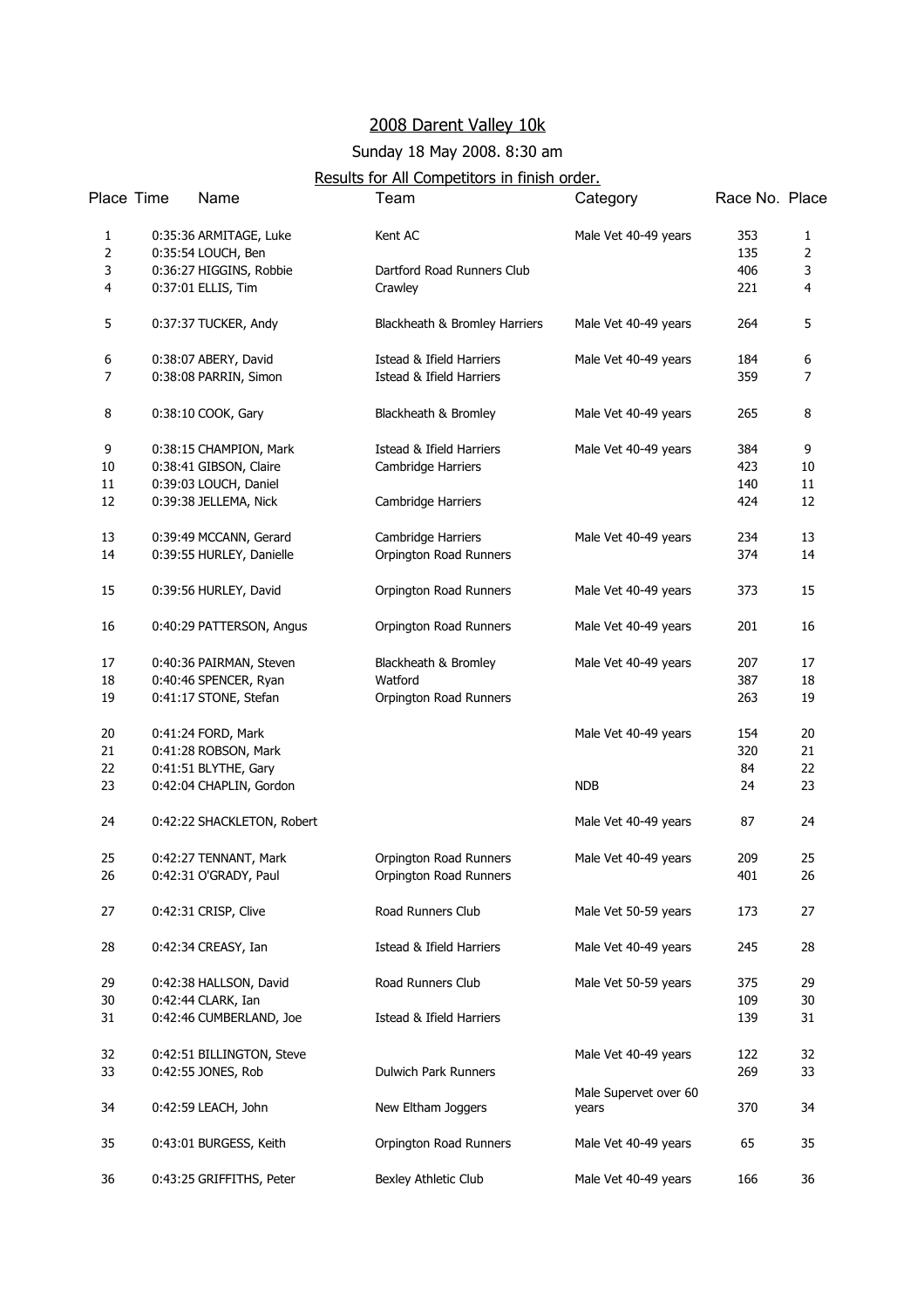## 2008 Darent Valley 10k

## Sunday 18 May 2008. 8:30 am

## Results for All Competitors in finish order.

| Place Time     | Name                       | Team                                | Category              | Race No. Place |                |
|----------------|----------------------------|-------------------------------------|-----------------------|----------------|----------------|
| $\mathbf{1}$   | 0:35:36 ARMITAGE, Luke     | Kent AC                             | Male Vet 40-49 years  | 353            | $\mathbf{1}$   |
| $\mathbf 2$    | 0:35:54 LOUCH, Ben         |                                     |                       | 135            | $\overline{2}$ |
| 3              | 0:36:27 HIGGINS, Robbie    | Dartford Road Runners Club          |                       | 406            | 3              |
| 4              | 0:37:01 ELLIS, Tim         | Crawley                             |                       | 221            | $\overline{4}$ |
| 5              | 0:37:37 TUCKER, Andy       | Blackheath & Bromley Harriers       | Male Vet 40-49 years  | 264            | 5              |
| 6              | 0:38:07 ABERY, David       | Istead & Ifield Harriers            | Male Vet 40-49 years  | 184            | 6              |
| $\overline{7}$ | 0:38:08 PARRIN, Simon      | <b>Istead &amp; Ifield Harriers</b> |                       | 359            | 7              |
| 8              | 0:38:10 COOK, Gary         | Blackheath & Bromley                | Male Vet 40-49 years  | 265            | 8              |
| 9              | 0:38:15 CHAMPION, Mark     | Istead & Ifield Harriers            | Male Vet 40-49 years  | 384            | 9              |
| 10             | 0:38:41 GIBSON, Claire     | Cambridge Harriers                  |                       | 423            | 10             |
| 11             | 0:39:03 LOUCH, Daniel      |                                     |                       | 140            | 11             |
| 12             | 0:39:38 JELLEMA, Nick      | Cambridge Harriers                  |                       | 424            | 12             |
| 13             | 0:39:49 MCCANN, Gerard     | Cambridge Harriers                  | Male Vet 40-49 years  | 234            | 13             |
| 14             | 0:39:55 HURLEY, Danielle   | Orpington Road Runners              |                       | 374            | 14             |
| 15             | 0:39:56 HURLEY, David      | Orpington Road Runners              | Male Vet 40-49 years  | 373            | 15             |
| 16             | 0:40:29 PATTERSON, Angus   | Orpington Road Runners              | Male Vet 40-49 years  | 201            | 16             |
| 17             | 0:40:36 PAIRMAN, Steven    | Blackheath & Bromley                | Male Vet 40-49 years  | 207            | 17             |
| 18             | 0:40:46 SPENCER, Ryan      | Watford                             |                       | 387            | 18             |
| 19             | 0:41:17 STONE, Stefan      | Orpington Road Runners              |                       | 263            | 19             |
| 20             | 0:41:24 FORD, Mark         |                                     | Male Vet 40-49 years  | 154            | 20             |
| 21             | 0:41:28 ROBSON, Mark       |                                     |                       | 320            | 21             |
| 22             | 0:41:51 BLYTHE, Gary       |                                     |                       | 84             | 22             |
| 23             | 0:42:04 CHAPLIN, Gordon    |                                     | <b>NDB</b>            | 24             | 23             |
| 24             | 0:42:22 SHACKLETON, Robert |                                     | Male Vet 40-49 years  | 87             | 24             |
| 25             | 0:42:27 TENNANT, Mark      | Orpington Road Runners              | Male Vet 40-49 years  | 209            | 25             |
| 26             | 0:42:31 O'GRADY, Paul      | Orpington Road Runners              |                       | 401            | 26             |
| 27             | 0:42:31 CRISP, Clive       | Road Runners Club                   | Male Vet 50-59 years  | 173            | 27             |
| 28             | 0:42:34 CREASY, Ian        | Istead & Ifield Harriers            | Male Vet 40-49 years  | 245            | 28             |
| 29             | 0:42:38 HALLSON, David     | Road Runners Club                   | Male Vet 50-59 years  | 375            | 29             |
| 30             | 0:42:44 CLARK, Ian         |                                     |                       | 109            | 30             |
| 31             | 0:42:46 CUMBERLAND, Joe    | Istead & Ifield Harriers            |                       | 139            | 31             |
| 32             | 0:42:51 BILLINGTON, Steve  |                                     | Male Vet 40-49 years  | 122            | 32             |
| 33             | 0:42:55 JONES, Rob         | <b>Dulwich Park Runners</b>         |                       | 269            | 33             |
|                |                            |                                     | Male Supervet over 60 |                |                |
| 34             | 0:42:59 LEACH, John        | New Eltham Joggers                  | years                 | 370            | 34             |
| 35             | 0:43:01 BURGESS, Keith     | Orpington Road Runners              | Male Vet 40-49 years  | 65             | 35             |
| 36             | 0:43:25 GRIFFITHS, Peter   | Bexley Athletic Club                | Male Vet 40-49 years  | 166            | 36             |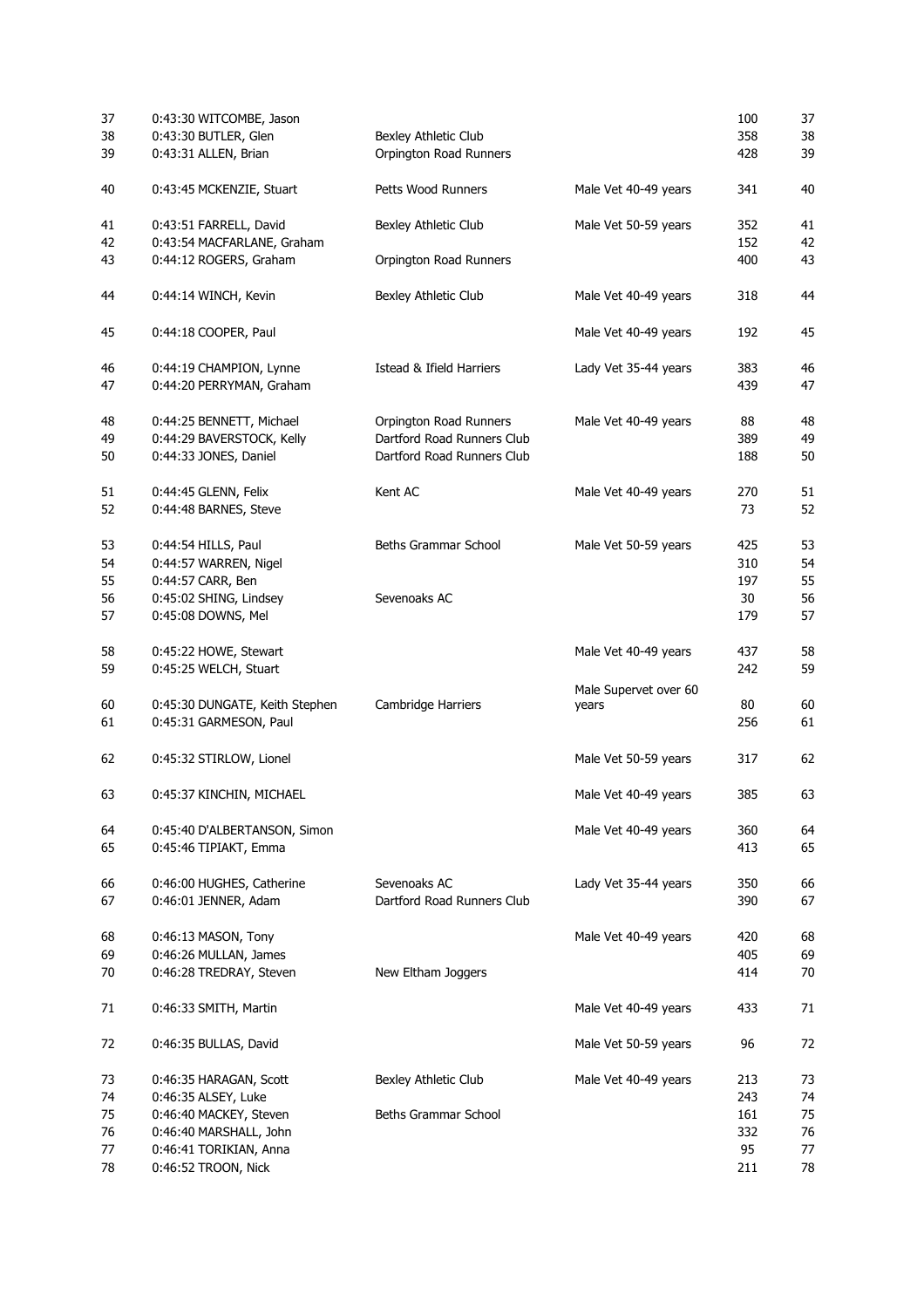| 37 | 0:43:30 WITCOMBE, Jason        |                             |                       | 100 | 37 |
|----|--------------------------------|-----------------------------|-----------------------|-----|----|
| 38 | 0:43:30 BUTLER, Glen           | <b>Bexley Athletic Club</b> |                       | 358 | 38 |
| 39 | 0:43:31 ALLEN, Brian           | Orpington Road Runners      |                       | 428 | 39 |
| 40 | 0:43:45 MCKENZIE, Stuart       | Petts Wood Runners          | Male Vet 40-49 years  | 341 | 40 |
| 41 | 0:43:51 FARRELL, David         | Bexley Athletic Club        | Male Vet 50-59 years  | 352 | 41 |
| 42 | 0:43:54 MACFARLANE, Graham     |                             |                       | 152 | 42 |
| 43 | 0:44:12 ROGERS, Graham         | Orpington Road Runners      |                       | 400 | 43 |
| 44 | 0:44:14 WINCH, Kevin           | Bexley Athletic Club        | Male Vet 40-49 years  | 318 | 44 |
| 45 | 0:44:18 COOPER, Paul           |                             | Male Vet 40-49 years  | 192 | 45 |
| 46 | 0:44:19 CHAMPION, Lynne        | Istead & Ifield Harriers    | Lady Vet 35-44 years  | 383 | 46 |
| 47 | 0:44:20 PERRYMAN, Graham       |                             |                       | 439 | 47 |
| 48 | 0:44:25 BENNETT, Michael       | Orpington Road Runners      | Male Vet 40-49 years  | 88  | 48 |
| 49 | 0:44:29 BAVERSTOCK, Kelly      | Dartford Road Runners Club  |                       | 389 | 49 |
| 50 | 0:44:33 JONES, Daniel          | Dartford Road Runners Club  |                       | 188 | 50 |
| 51 | 0:44:45 GLENN, Felix           | Kent AC                     | Male Vet 40-49 years  | 270 | 51 |
| 52 | 0:44:48 BARNES, Steve          |                             |                       | 73  | 52 |
| 53 | 0:44:54 HILLS, Paul            | Beths Grammar School        | Male Vet 50-59 years  | 425 | 53 |
| 54 | 0:44:57 WARREN, Nigel          |                             |                       | 310 | 54 |
| 55 | 0:44:57 CARR, Ben              |                             |                       | 197 | 55 |
| 56 | 0:45:02 SHING, Lindsey         | Sevenoaks AC                |                       | 30  | 56 |
| 57 | 0:45:08 DOWNS, Mel             |                             |                       | 179 | 57 |
| 58 | 0:45:22 HOWE, Stewart          |                             | Male Vet 40-49 years  | 437 | 58 |
| 59 | 0:45:25 WELCH, Stuart          |                             |                       | 242 | 59 |
| 60 | 0:45:30 DUNGATE, Keith Stephen | Cambridge Harriers          | Male Supervet over 60 | 80  | 60 |
| 61 | 0:45:31 GARMESON, Paul         |                             | years                 | 256 | 61 |
| 62 | 0:45:32 STIRLOW, Lionel        |                             | Male Vet 50-59 years  | 317 | 62 |
| 63 | 0:45:37 KINCHIN, MICHAEL       |                             | Male Vet 40-49 years  | 385 | 63 |
| 64 | 0:45:40 D'ALBERTANSON, Simon   |                             | Male Vet 40-49 years  | 360 | 64 |
| 65 | 0:45:46 TIPIAKT, Emma          |                             |                       | 413 | 65 |
| 66 | 0:46:00 HUGHES, Catherine      | Sevenoaks AC                | Lady Vet 35-44 years  | 350 | 66 |
| 67 | 0:46:01 JENNER, Adam           | Dartford Road Runners Club  |                       | 390 | 67 |
| 68 | 0:46:13 MASON, Tony            |                             | Male Vet 40-49 years  | 420 | 68 |
| 69 | 0:46:26 MULLAN, James          |                             |                       | 405 | 69 |
| 70 | 0:46:28 TREDRAY, Steven        | New Eltham Joggers          |                       | 414 | 70 |
| 71 | 0:46:33 SMITH, Martin          |                             | Male Vet 40-49 years  | 433 | 71 |
| 72 | 0:46:35 BULLAS, David          |                             | Male Vet 50-59 years  | 96  | 72 |
| 73 | 0:46:35 HARAGAN, Scott         | Bexley Athletic Club        | Male Vet 40-49 years  | 213 | 73 |
| 74 | 0:46:35 ALSEY, Luke            |                             |                       | 243 | 74 |
| 75 | 0:46:40 MACKEY, Steven         | Beths Grammar School        |                       | 161 | 75 |
| 76 | 0:46:40 MARSHALL, John         |                             |                       | 332 | 76 |
| 77 | 0:46:41 TORIKIAN, Anna         |                             |                       | 95  | 77 |
| 78 | 0:46:52 TROON, Nick            |                             |                       | 211 | 78 |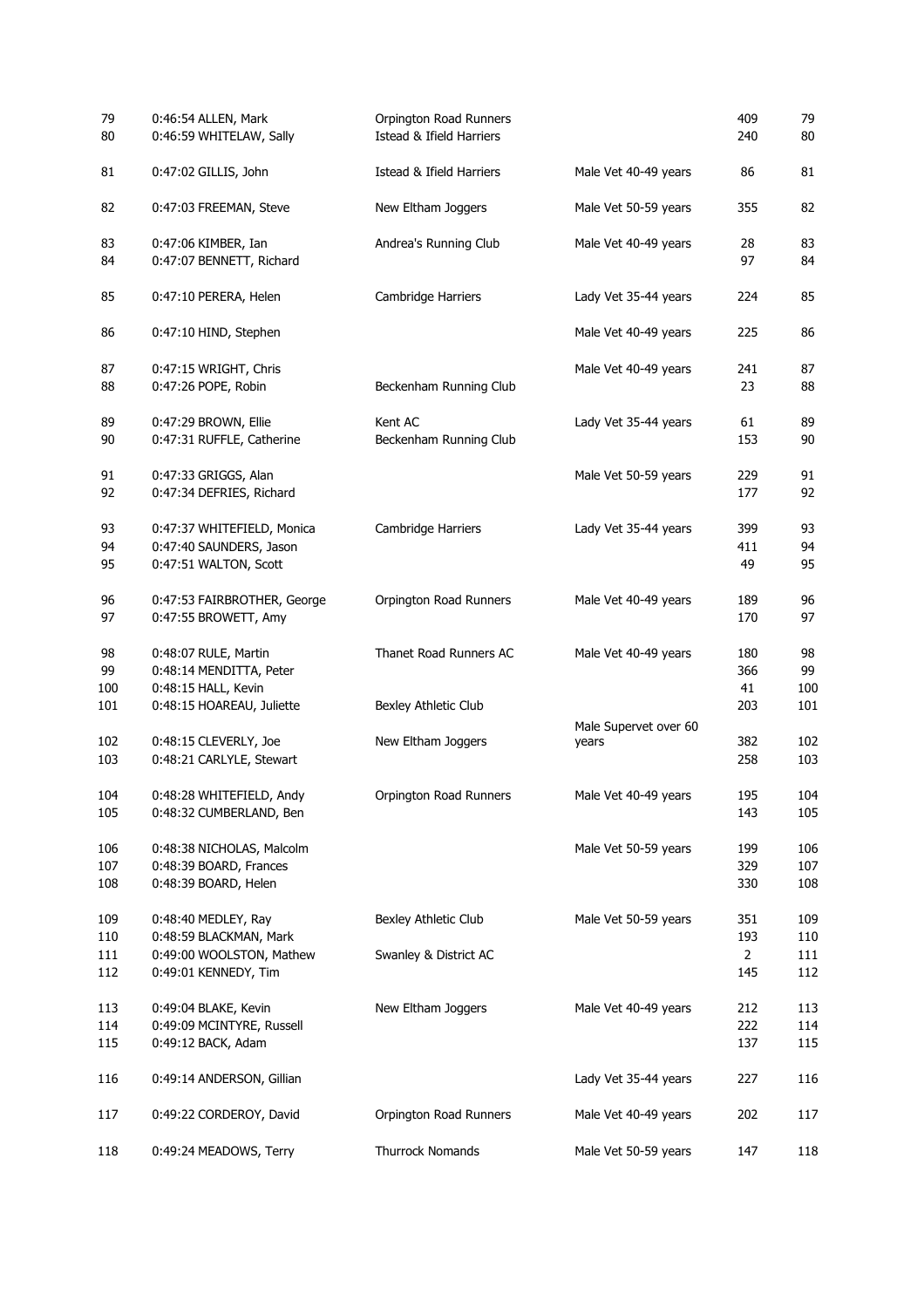| 79<br>80   | 0:46:54 ALLEN, Mark<br>0:46:59 WHITELAW, Sally | Orpington Road Runners<br>Istead & Ifield Harriers |                                | 409<br>240     | 79<br>80 |
|------------|------------------------------------------------|----------------------------------------------------|--------------------------------|----------------|----------|
| 81         | 0:47:02 GILLIS, John                           | Istead & Ifield Harriers                           | Male Vet 40-49 years           | 86             | 81       |
| 82         | 0:47:03 FREEMAN, Steve                         | New Eltham Joggers                                 | Male Vet 50-59 years           | 355            | 82       |
| 83         | 0:47:06 KIMBER, Ian                            | Andrea's Running Club                              | Male Vet 40-49 years           | 28             | 83       |
| 84         | 0:47:07 BENNETT, Richard                       |                                                    |                                | 97             | 84       |
| 85         | 0:47:10 PERERA, Helen                          | Cambridge Harriers                                 | Lady Vet 35-44 years           | 224            | 85       |
| 86         | 0:47:10 HIND, Stephen                          |                                                    | Male Vet 40-49 years           | 225            | 86       |
| 87         | 0:47:15 WRIGHT, Chris                          |                                                    | Male Vet 40-49 years           | 241            | 87       |
| 88         | 0:47:26 POPE, Robin                            | Beckenham Running Club                             |                                | 23             | 88       |
| 89         | 0:47:29 BROWN, Ellie                           | Kent AC                                            | Lady Vet 35-44 years           | 61             | 89       |
| 90         | 0:47:31 RUFFLE, Catherine                      | Beckenham Running Club                             |                                | 153            | 90       |
| 91         | 0:47:33 GRIGGS, Alan                           |                                                    | Male Vet 50-59 years           | 229            | 91       |
| 92         | 0:47:34 DEFRIES, Richard                       |                                                    |                                | 177            | 92       |
| 93         | 0:47:37 WHITEFIELD, Monica                     | Cambridge Harriers                                 | Lady Vet 35-44 years           | 399            | 93       |
| 94         | 0:47:40 SAUNDERS, Jason                        |                                                    |                                | 411            | 94       |
| 95         | 0:47:51 WALTON, Scott                          |                                                    |                                | 49             | 95       |
| 96         | 0:47:53 FAIRBROTHER, George                    | Orpington Road Runners                             | Male Vet 40-49 years           | 189            | 96       |
| 97         | 0:47:55 BROWETT, Amy                           |                                                    |                                | 170            | 97       |
| 98         | 0:48:07 RULE, Martin                           | Thanet Road Runners AC                             | Male Vet 40-49 years           | 180            | 98       |
| 99         | 0:48:14 MENDITTA, Peter                        |                                                    |                                | 366            | 99       |
| 100        | 0:48:15 HALL, Kevin                            |                                                    |                                | 41             | 100      |
| 101        | 0:48:15 HOAREAU, Juliette                      | Bexley Athletic Club                               |                                | 203            | 101      |
| 102        | 0:48:15 CLEVERLY, Joe                          | New Eltham Joggers                                 | Male Supervet over 60<br>years | 382            | 102      |
| 103        | 0:48:21 CARLYLE, Stewart                       |                                                    |                                | 258            | 103      |
|            | 0:48:28 WHITEFIELD, Andy                       |                                                    |                                | 195            | 104      |
| 104<br>105 | 0:48:32 CUMBERLAND, Ben                        | Orpington Road Runners                             | Male Vet 40-49 years           | 143            | 105      |
|            |                                                |                                                    |                                |                |          |
| 106        | 0:48:38 NICHOLAS, Malcolm                      |                                                    | Male Vet 50-59 years           | 199            | 106      |
| 107        | 0:48:39 BOARD, Frances                         |                                                    |                                | 329            | 107      |
| 108        | 0:48:39 BOARD, Helen                           |                                                    |                                | 330            | 108      |
| 109        | 0:48:40 MEDLEY, Ray                            | Bexley Athletic Club                               | Male Vet 50-59 years           | 351            | 109      |
| 110        | 0:48:59 BLACKMAN, Mark                         |                                                    |                                | 193            | 110      |
| 111        | 0:49:00 WOOLSTON, Mathew                       | Swanley & District AC                              |                                | $\overline{2}$ | 111      |
| 112        | 0:49:01 KENNEDY, Tim                           |                                                    |                                | 145            | 112      |
| 113        | 0:49:04 BLAKE, Kevin                           | New Eltham Joggers                                 | Male Vet 40-49 years           | 212            | 113      |
| 114        | 0:49:09 MCINTYRE, Russell                      |                                                    |                                | 222            | 114      |
| 115        | 0:49:12 BACK, Adam                             |                                                    |                                | 137            | 115      |
| 116        | 0:49:14 ANDERSON, Gillian                      |                                                    | Lady Vet 35-44 years           | 227            | 116      |
| 117        | 0:49:22 CORDEROY, David                        | Orpington Road Runners                             | Male Vet 40-49 years           | 202            | 117      |
| 118        | 0:49:24 MEADOWS, Terry                         | Thurrock Nomands                                   | Male Vet 50-59 years           | 147            | 118      |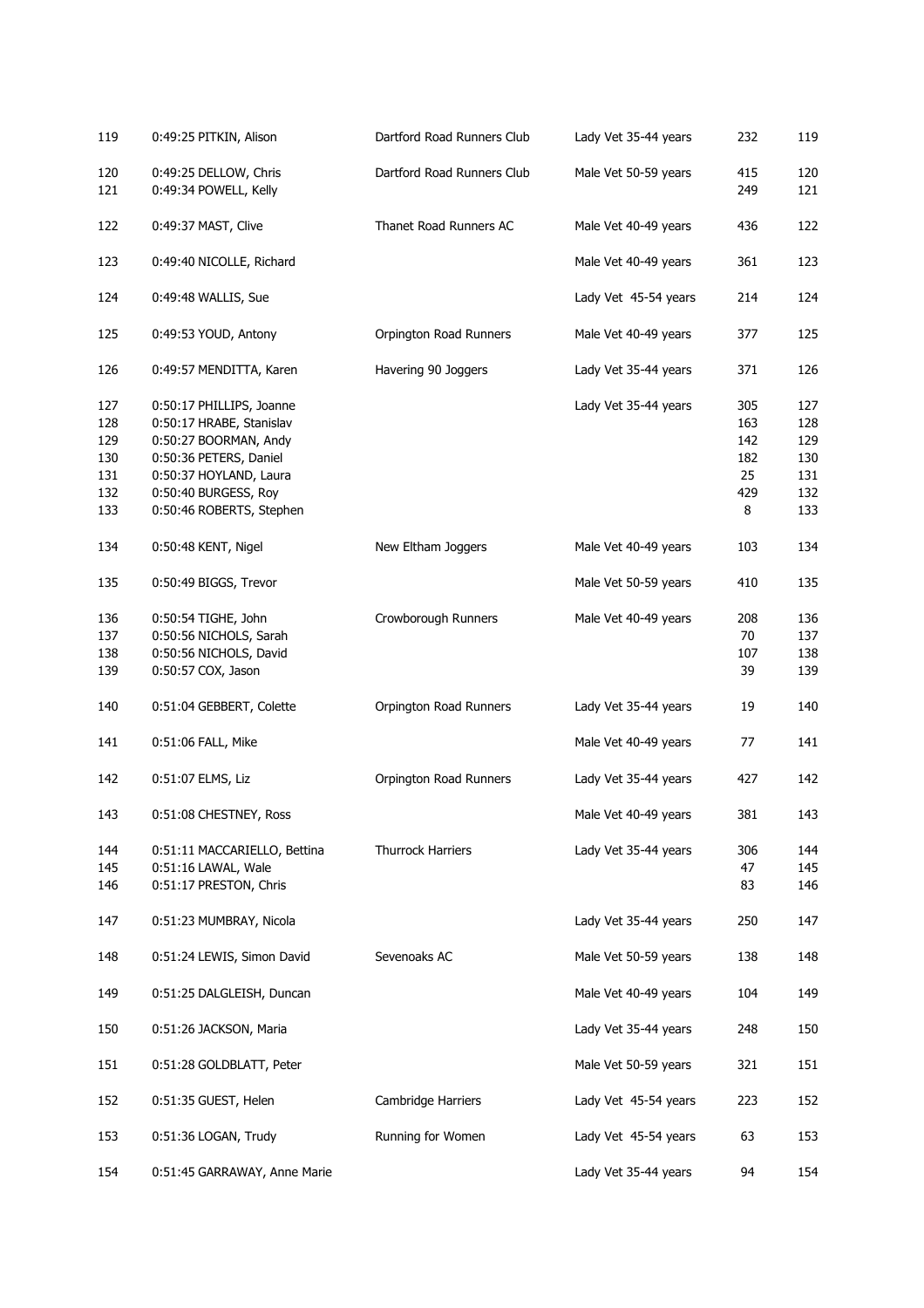| 119        | 0:49:25 PITKIN, Alison                         | Dartford Road Runners Club | Lady Vet 35-44 years | 232        | 119        |
|------------|------------------------------------------------|----------------------------|----------------------|------------|------------|
| 120<br>121 | 0:49:25 DELLOW, Chris<br>0:49:34 POWELL, Kelly | Dartford Road Runners Club | Male Vet 50-59 years | 415<br>249 | 120<br>121 |
| 122        | 0:49:37 MAST, Clive                            | Thanet Road Runners AC     | Male Vet 40-49 years | 436        | 122        |
| 123        | 0:49:40 NICOLLE, Richard                       |                            | Male Vet 40-49 years | 361        | 123        |
| 124        | 0:49:48 WALLIS, Sue                            |                            | Lady Vet 45-54 years | 214        | 124        |
| 125        | 0:49:53 YOUD, Antony                           | Orpington Road Runners     | Male Vet 40-49 years | 377        | 125        |
| 126        | 0:49:57 MENDITTA, Karen                        | Havering 90 Joggers        | Lady Vet 35-44 years | 371        | 126        |
| 127        | 0:50:17 PHILLIPS, Joanne                       |                            | Lady Vet 35-44 years | 305        | 127        |
| 128        | 0:50:17 HRABE, Stanislav                       |                            |                      | 163        | 128        |
| 129        | 0:50:27 BOORMAN, Andy                          |                            |                      | 142        | 129        |
| 130        | 0:50:36 PETERS, Daniel                         |                            |                      | 182        | 130        |
| 131        | 0:50:37 HOYLAND, Laura                         |                            |                      | 25         | 131        |
| 132        | 0:50:40 BURGESS, Roy                           |                            |                      | 429        | 132        |
| 133        | 0:50:46 ROBERTS, Stephen                       |                            |                      | 8          | 133        |
| 134        | 0:50:48 KENT, Nigel                            | New Eltham Joggers         | Male Vet 40-49 years | 103        | 134        |
| 135        | 0:50:49 BIGGS, Trevor                          |                            | Male Vet 50-59 years | 410        | 135        |
| 136        | 0:50:54 TIGHE, John                            | Crowborough Runners        | Male Vet 40-49 years | 208        | 136        |
| 137        | 0:50:56 NICHOLS, Sarah                         |                            |                      | 70         | 137        |
| 138        | 0:50:56 NICHOLS, David                         |                            |                      | 107        | 138        |
| 139        | 0:50:57 COX, Jason                             |                            |                      | 39         | 139        |
| 140        | 0:51:04 GEBBERT, Colette                       | Orpington Road Runners     | Lady Vet 35-44 years | 19         | 140        |
| 141        | 0:51:06 FALL, Mike                             |                            | Male Vet 40-49 years | 77         | 141        |
| 142        | 0:51:07 ELMS, Liz                              | Orpington Road Runners     | Lady Vet 35-44 years | 427        | 142        |
| 143        | 0:51:08 CHESTNEY, Ross                         |                            | Male Vet 40-49 years | 381        | 143        |
| 144        | 0:51:11 MACCARIELLO, Bettina                   | Thurrock Harriers          | Lady Vet 35-44 years | 306        | 144        |
| 145        | 0:51:16 LAWAL, Wale                            |                            |                      | 47         | 145        |
| 146        | 0:51:17 PRESTON, Chris                         |                            |                      | 83         | 146        |
| 147        | 0:51:23 MUMBRAY, Nicola                        |                            | Lady Vet 35-44 years | 250        | 147        |
| 148        | 0:51:24 LEWIS, Simon David                     | Sevenoaks AC               | Male Vet 50-59 years | 138        | 148        |
| 149        | 0:51:25 DALGLEISH, Duncan                      |                            | Male Vet 40-49 years | 104        | 149        |
| 150        | 0:51:26 JACKSON, Maria                         |                            | Lady Vet 35-44 years | 248        | 150        |
| 151        | 0:51:28 GOLDBLATT, Peter                       |                            | Male Vet 50-59 years | 321        | 151        |
| 152        | 0:51:35 GUEST, Helen                           | Cambridge Harriers         | Lady Vet 45-54 years | 223        | 152        |
| 153        | 0:51:36 LOGAN, Trudy                           | Running for Women          | Lady Vet 45-54 years | 63         | 153        |
| 154        | 0:51:45 GARRAWAY, Anne Marie                   |                            | Lady Vet 35-44 years | 94         | 154        |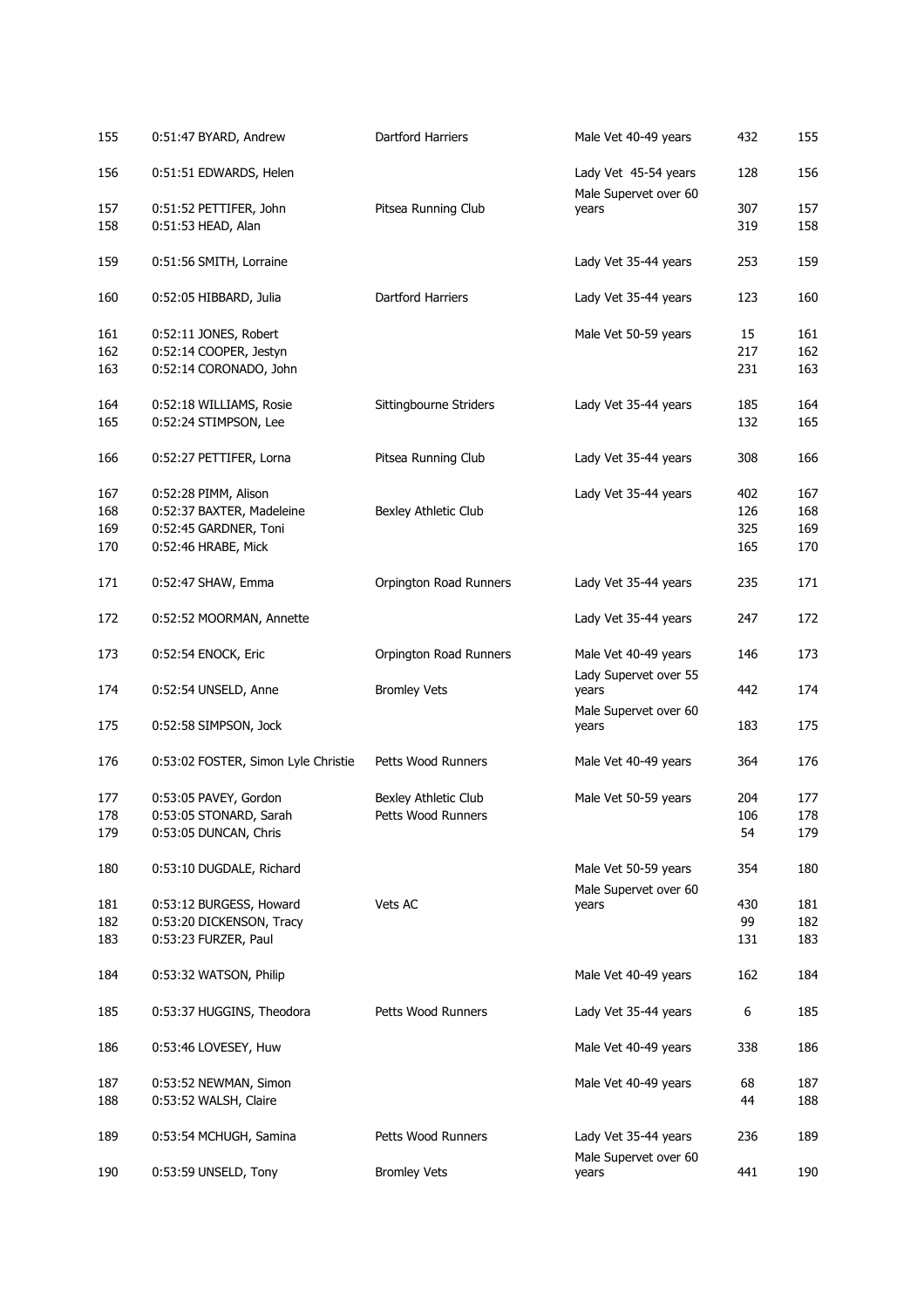| 155        | 0:51:47 BYARD, Andrew                            | Dartford Harriers      | Male Vet 40-49 years           | 432       | 155        |
|------------|--------------------------------------------------|------------------------|--------------------------------|-----------|------------|
| 156        | 0:51:51 EDWARDS, Helen                           |                        | Lady Vet 45-54 years           | 128       | 156        |
| 157        | 0:51:52 PETTIFER, John                           | Pitsea Running Club    | Male Supervet over 60<br>years | 307       | 157        |
| 158        | 0:51:53 HEAD, Alan                               |                        |                                | 319       | 158        |
| 159        | 0:51:56 SMITH, Lorraine                          |                        | Lady Vet 35-44 years           | 253       | 159        |
| 160        | 0:52:05 HIBBARD, Julia                           | Dartford Harriers      | Lady Vet 35-44 years           | 123       | 160        |
| 161        | 0:52:11 JONES, Robert                            |                        | Male Vet 50-59 years           | 15        | 161        |
| 162        | 0:52:14 COOPER, Jestyn                           |                        |                                | 217       | 162        |
| 163        | 0:52:14 CORONADO, John                           |                        |                                | 231       | 163        |
| 164        | 0:52:18 WILLIAMS, Rosie                          | Sittingbourne Striders | Lady Vet 35-44 years           | 185       | 164        |
| 165        | 0:52:24 STIMPSON, Lee                            |                        |                                | 132       | 165        |
| 166        | 0:52:27 PETTIFER, Lorna                          | Pitsea Running Club    | Lady Vet 35-44 years           | 308       | 166        |
| 167        | 0:52:28 PIMM, Alison                             |                        | Lady Vet 35-44 years           | 402       | 167        |
| 168        | 0:52:37 BAXTER, Madeleine                        | Bexley Athletic Club   |                                | 126       | 168        |
| 169        | 0:52:45 GARDNER, Toni                            |                        |                                | 325       | 169        |
| 170        | 0:52:46 HRABE, Mick                              |                        |                                | 165       | 170        |
| 171        | 0:52:47 SHAW, Emma                               | Orpington Road Runners | Lady Vet 35-44 years           | 235       | 171        |
| 172        | 0:52:52 MOORMAN, Annette                         |                        | Lady Vet 35-44 years           | 247       | 172        |
| 173        | 0:52:54 ENOCK, Eric                              | Orpington Road Runners | Male Vet 40-49 years           | 146       | 173        |
| 174        | 0:52:54 UNSELD, Anne                             | <b>Bromley Vets</b>    | Lady Supervet over 55<br>years | 442       | 174        |
| 175        | 0:52:58 SIMPSON, Jock                            |                        | Male Supervet over 60<br>years | 183       | 175        |
| 176        | 0:53:02 FOSTER, Simon Lyle Christie              | Petts Wood Runners     | Male Vet 40-49 years           | 364       | 176        |
| 177        | 0:53:05 PAVEY, Gordon                            | Bexley Athletic Club   | Male Vet 50-59 years           | 204       | 177        |
| 178        | 0:53:05 STONARD, Sarah                           | Petts Wood Runners     |                                | 106       | 178        |
| 179        | 0:53:05 DUNCAN, Chris                            |                        |                                | 54        | 179        |
| 180        | 0:53:10 DUGDALE, Richard                         |                        | Male Vet 50-59 years           | 354       | 180        |
|            |                                                  |                        | Male Supervet over 60          |           |            |
| 181        | 0:53:12 BURGESS, Howard                          | Vets AC                | years                          | 430       | 181        |
| 182<br>183 | 0:53:20 DICKENSON, Tracy<br>0:53:23 FURZER, Paul |                        |                                | 99<br>131 | 182<br>183 |
| 184        | 0:53:32 WATSON, Philip                           |                        | Male Vet 40-49 years           | 162       | 184        |
| 185        | 0:53:37 HUGGINS, Theodora                        | Petts Wood Runners     | Lady Vet 35-44 years           | 6         | 185        |
|            |                                                  |                        |                                |           |            |
| 186        | 0:53:46 LOVESEY, Huw                             |                        | Male Vet 40-49 years           | 338       | 186        |
| 187        | 0:53:52 NEWMAN, Simon                            |                        | Male Vet 40-49 years           | 68        | 187        |
| 188        | 0:53:52 WALSH, Claire                            |                        |                                | 44        | 188        |
| 189        | 0:53:54 MCHUGH, Samina                           | Petts Wood Runners     | Lady Vet 35-44 years           | 236       | 189        |
| 190        | 0:53:59 UNSELD, Tony                             | <b>Bromley Vets</b>    | Male Supervet over 60<br>years | 441       | 190        |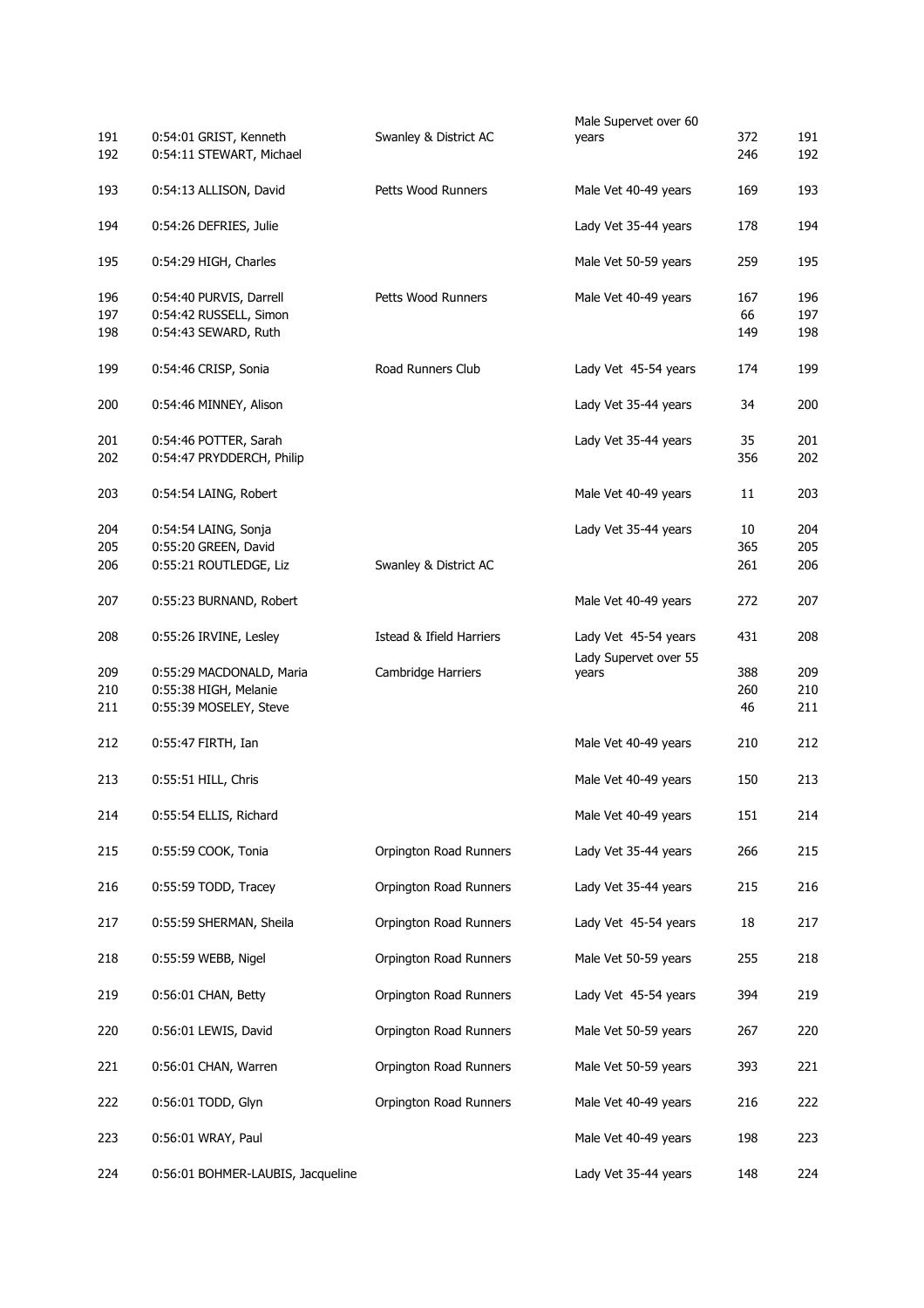|     |                                   |                          | Male Supervet over 60 |     |     |
|-----|-----------------------------------|--------------------------|-----------------------|-----|-----|
| 191 | 0:54:01 GRIST, Kenneth            | Swanley & District AC    | years                 | 372 | 191 |
| 192 | 0:54:11 STEWART, Michael          |                          |                       | 246 | 192 |
| 193 | 0:54:13 ALLISON, David            | Petts Wood Runners       | Male Vet 40-49 years  | 169 | 193 |
| 194 | 0:54:26 DEFRIES, Julie            |                          | Lady Vet 35-44 years  | 178 | 194 |
| 195 | 0:54:29 HIGH, Charles             |                          | Male Vet 50-59 years  | 259 | 195 |
| 196 | 0:54:40 PURVIS, Darrell           | Petts Wood Runners       | Male Vet 40-49 years  | 167 | 196 |
| 197 | 0:54:42 RUSSELL, Simon            |                          |                       | 66  | 197 |
| 198 | 0:54:43 SEWARD, Ruth              |                          |                       | 149 | 198 |
| 199 | 0:54:46 CRISP, Sonia              | Road Runners Club        | Lady Vet 45-54 years  | 174 | 199 |
| 200 | 0:54:46 MINNEY, Alison            |                          | Lady Vet 35-44 years  | 34  | 200 |
| 201 | 0:54:46 POTTER, Sarah             |                          | Lady Vet 35-44 years  | 35  | 201 |
| 202 | 0:54:47 PRYDDERCH, Philip         |                          |                       | 356 | 202 |
| 203 | 0:54:54 LAING, Robert             |                          | Male Vet 40-49 years  | 11  | 203 |
| 204 | 0:54:54 LAING, Sonja              |                          | Lady Vet 35-44 years  | 10  | 204 |
| 205 | 0:55:20 GREEN, David              |                          |                       | 365 | 205 |
| 206 | 0:55:21 ROUTLEDGE, Liz            | Swanley & District AC    |                       | 261 | 206 |
| 207 | 0:55:23 BURNAND, Robert           |                          | Male Vet 40-49 years  | 272 | 207 |
| 208 | 0:55:26 IRVINE, Lesley            | Istead & Ifield Harriers | Lady Vet 45-54 years  | 431 | 208 |
|     |                                   |                          | Lady Supervet over 55 |     |     |
| 209 | 0:55:29 MACDONALD, Maria          | Cambridge Harriers       | years                 | 388 | 209 |
| 210 | 0:55:38 HIGH, Melanie             |                          |                       | 260 | 210 |
| 211 | 0:55:39 MOSELEY, Steve            |                          |                       | 46  | 211 |
| 212 | 0:55:47 FIRTH, Ian                |                          | Male Vet 40-49 years  | 210 | 212 |
| 213 | 0:55:51 HILL, Chris               |                          | Male Vet 40-49 years  | 150 | 213 |
| 214 | 0:55:54 ELLIS, Richard            |                          | Male Vet 40-49 years  | 151 | 214 |
| 215 | 0:55:59 COOK, Tonia               | Orpington Road Runners   | Lady Vet 35-44 years  | 266 | 215 |
| 216 | 0:55:59 TODD, Tracey              | Orpington Road Runners   | Lady Vet 35-44 years  | 215 | 216 |
| 217 | 0:55:59 SHERMAN, Sheila           | Orpington Road Runners   | Lady Vet 45-54 years  | 18  | 217 |
| 218 | 0:55:59 WEBB, Nigel               | Orpington Road Runners   | Male Vet 50-59 years  | 255 | 218 |
| 219 | 0:56:01 CHAN, Betty               | Orpington Road Runners   | Lady Vet 45-54 years  | 394 | 219 |
| 220 | 0:56:01 LEWIS, David              | Orpington Road Runners   | Male Vet 50-59 years  | 267 | 220 |
| 221 | 0:56:01 CHAN, Warren              | Orpington Road Runners   | Male Vet 50-59 years  | 393 | 221 |
| 222 | 0:56:01 TODD, Glyn                | Orpington Road Runners   | Male Vet 40-49 years  | 216 | 222 |
| 223 | 0:56:01 WRAY, Paul                |                          | Male Vet 40-49 years  | 198 | 223 |
| 224 | 0:56:01 BOHMER-LAUBIS, Jacqueline |                          | Lady Vet 35-44 years  | 148 | 224 |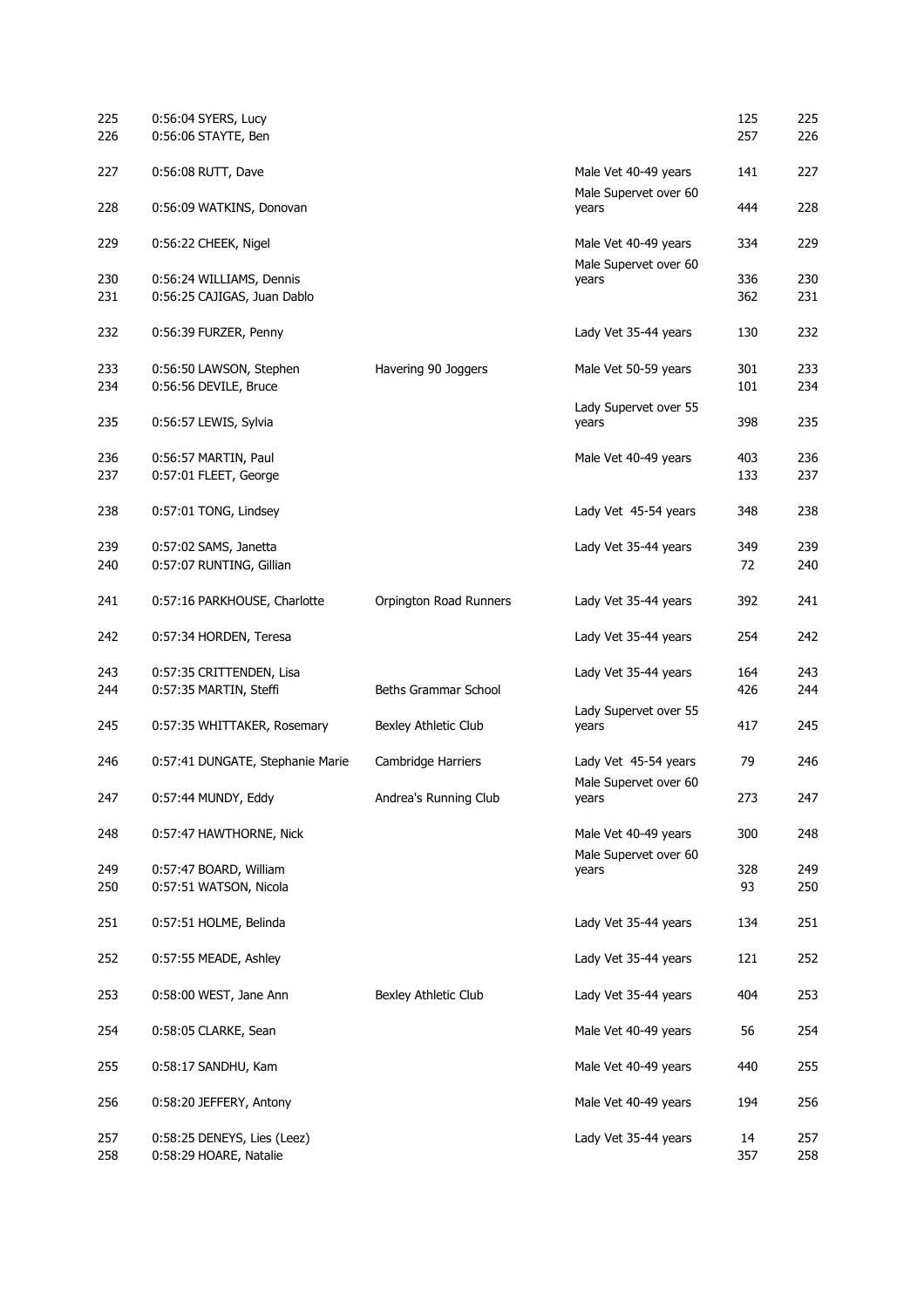| 225        | 0:56:04 SYERS, Lucy                                   |                        |                                | 125       | 225        |
|------------|-------------------------------------------------------|------------------------|--------------------------------|-----------|------------|
| 226        | 0:56:06 STAYTE, Ben                                   |                        |                                | 257       | 226        |
| 227        | 0:56:08 RUTT, Dave                                    |                        | Male Vet 40-49 years           | 141       | 227        |
| 228        | 0:56:09 WATKINS, Donovan                              |                        | Male Supervet over 60<br>years | 444       | 228        |
| 229        | 0:56:22 CHEEK, Nigel                                  |                        | Male Vet 40-49 years           | 334       | 229        |
| 230        | 0:56:24 WILLIAMS, Dennis                              |                        | Male Supervet over 60<br>years | 336       | 230        |
| 231        | 0:56:25 CAJIGAS, Juan Dablo                           |                        |                                | 362       | 231        |
| 232        | 0:56:39 FURZER, Penny                                 |                        | Lady Vet 35-44 years           | 130       | 232        |
| 233        | 0:56:50 LAWSON, Stephen                               | Havering 90 Joggers    | Male Vet 50-59 years           | 301       | 233        |
| 234        | 0:56:56 DEVILE, Bruce                                 |                        |                                | 101       | 234        |
| 235        | 0:56:57 LEWIS, Sylvia                                 |                        | Lady Supervet over 55<br>years | 398       | 235        |
| 236        | 0:56:57 MARTIN, Paul                                  |                        | Male Vet 40-49 years           | 403       | 236        |
| 237        | 0:57:01 FLEET, George                                 |                        |                                | 133       | 237        |
| 238        | 0:57:01 TONG, Lindsey                                 |                        | Lady Vet 45-54 years           | 348       | 238        |
| 239        | 0:57:02 SAMS, Janetta                                 |                        | Lady Vet 35-44 years           | 349       | 239        |
| 240        | 0:57:07 RUNTING, Gillian                              |                        |                                | 72        | 240        |
| 241        | 0:57:16 PARKHOUSE, Charlotte                          | Orpington Road Runners | Lady Vet 35-44 years           | 392       | 241        |
| 242        | 0:57:34 HORDEN, Teresa                                |                        | Lady Vet 35-44 years           | 254       | 242        |
| 243        | 0:57:35 CRITTENDEN, Lisa                              |                        | Lady Vet 35-44 years           | 164       | 243        |
| 244        | 0:57:35 MARTIN, Steffi                                | Beths Grammar School   |                                | 426       | 244        |
| 245        | 0:57:35 WHITTAKER, Rosemary                           | Bexley Athletic Club   | Lady Supervet over 55<br>years | 417       | 245        |
| 246        | 0:57:41 DUNGATE, Stephanie Marie                      | Cambridge Harriers     | Lady Vet 45-54 years           | 79        | 246        |
| 247        | 0:57:44 MUNDY, Eddy                                   | Andrea's Running Club  | Male Supervet over 60<br>years | 273       | 247        |
| 248        | 0:57:47 HAWTHORNE, Nick                               |                        | Male Vet 40-49 years           | 300       | 248        |
|            |                                                       |                        | Male Supervet over 60          |           |            |
| 249<br>250 | 0:57:47 BOARD, William<br>0:57:51 WATSON, Nicola      |                        | years                          | 328<br>93 | 249<br>250 |
| 251        | 0:57:51 HOLME, Belinda                                |                        | Lady Vet 35-44 years           | 134       | 251        |
| 252        | 0:57:55 MEADE, Ashley                                 |                        | Lady Vet 35-44 years           | 121       | 252        |
| 253        | 0:58:00 WEST, Jane Ann                                | Bexley Athletic Club   | Lady Vet 35-44 years           | 404       | 253        |
| 254        | 0:58:05 CLARKE, Sean                                  |                        | Male Vet 40-49 years           | 56        | 254        |
| 255        | 0:58:17 SANDHU, Kam                                   |                        | Male Vet 40-49 years           | 440       | 255        |
| 256        | 0:58:20 JEFFERY, Antony                               |                        | Male Vet 40-49 years           | 194       | 256        |
| 257<br>258 | 0:58:25 DENEYS, Lies (Leez)<br>0:58:29 HOARE, Natalie |                        | Lady Vet 35-44 years           | 14<br>357 | 257<br>258 |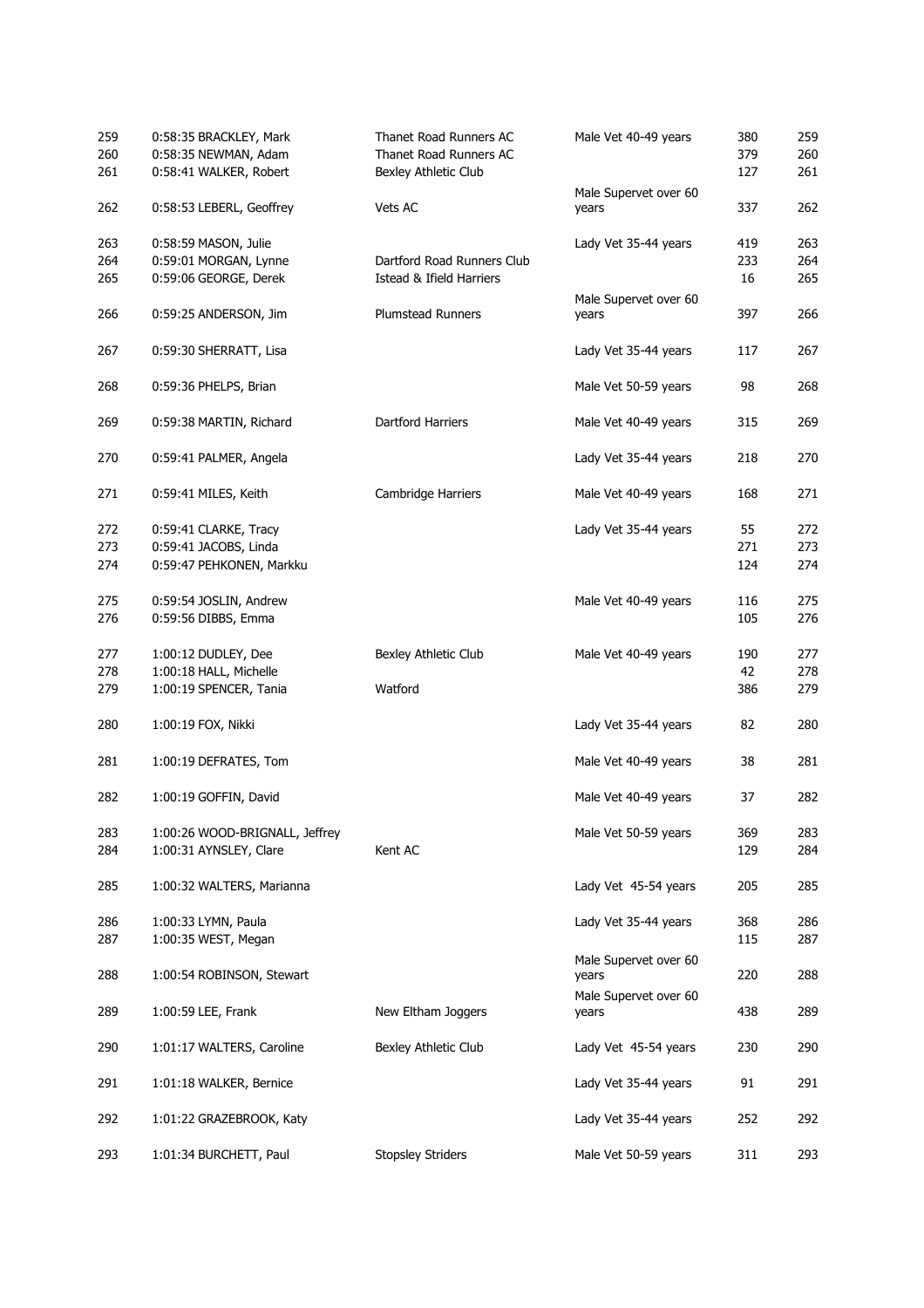| 259<br>260<br>261 | 0:58:35 BRACKLEY, Mark<br>0:58:35 NEWMAN, Adam<br>0:58:41 WALKER, Robert | Thanet Road Runners AC<br>Thanet Road Runners AC<br>Bexley Athletic Club | Male Vet 40-49 years           | 380<br>379<br>127 | 259<br>260<br>261 |
|-------------------|--------------------------------------------------------------------------|--------------------------------------------------------------------------|--------------------------------|-------------------|-------------------|
| 262               | 0:58:53 LEBERL, Geoffrey                                                 | Vets AC                                                                  | Male Supervet over 60<br>years | 337               | 262               |
| 263               | 0:58:59 MASON, Julie                                                     |                                                                          | Lady Vet 35-44 years           | 419               | 263               |
| 264               | 0:59:01 MORGAN, Lynne                                                    | Dartford Road Runners Club                                               |                                | 233               | 264               |
| 265               | 0:59:06 GEORGE, Derek                                                    | Istead & Ifield Harriers                                                 |                                | 16                | 265               |
| 266               | 0:59:25 ANDERSON, Jim                                                    | <b>Plumstead Runners</b>                                                 | Male Supervet over 60          | 397               | 266               |
|                   |                                                                          |                                                                          | years                          |                   |                   |
| 267               | 0:59:30 SHERRATT, Lisa                                                   |                                                                          | Lady Vet 35-44 years           | 117               | 267               |
| 268               | 0:59:36 PHELPS, Brian                                                    |                                                                          | Male Vet 50-59 years           | 98                | 268               |
| 269               | 0:59:38 MARTIN, Richard                                                  | Dartford Harriers                                                        | Male Vet 40-49 years           | 315               | 269               |
| 270               | 0:59:41 PALMER, Angela                                                   |                                                                          | Lady Vet 35-44 years           | 218               | 270               |
| 271               | 0:59:41 MILES, Keith                                                     | Cambridge Harriers                                                       | Male Vet 40-49 years           | 168               | 271               |
| 272               | 0:59:41 CLARKE, Tracy                                                    |                                                                          | Lady Vet 35-44 years           | 55                | 272               |
| 273               | 0:59:41 JACOBS, Linda                                                    |                                                                          |                                | 271               | 273               |
| 274               | 0:59:47 PEHKONEN, Markku                                                 |                                                                          |                                | 124               | 274               |
| 275               | 0:59:54 JOSLIN, Andrew                                                   |                                                                          | Male Vet 40-49 years           | 116               | 275               |
| 276               | 0:59:56 DIBBS, Emma                                                      |                                                                          |                                | 105               | 276               |
| 277               | 1:00:12 DUDLEY, Dee                                                      | Bexley Athletic Club                                                     | Male Vet 40-49 years           | 190               | 277               |
| 278               | 1:00:18 HALL, Michelle                                                   |                                                                          |                                | 42                | 278               |
| 279               | 1:00:19 SPENCER, Tania                                                   | Watford                                                                  |                                | 386               | 279               |
| 280               | 1:00:19 FOX, Nikki                                                       |                                                                          | Lady Vet 35-44 years           | 82                | 280               |
| 281               | 1:00:19 DEFRATES, Tom                                                    |                                                                          | Male Vet 40-49 years           | 38                | 281               |
| 282               | 1:00:19 GOFFIN, David                                                    |                                                                          | Male Vet 40-49 years           | 37                | 282               |
| 283<br>284        | 1:00:26 WOOD-BRIGNALL, Jeffrey<br>1:00:31 AYNSLEY, Clare                 | Kent AC                                                                  | Male Vet 50-59 years           | 369<br>129        | 283<br>284        |
| 285               | 1:00:32 WALTERS, Marianna                                                |                                                                          | Lady Vet 45-54 years           | 205               | 285               |
| 286               | 1:00:33 LYMN, Paula                                                      |                                                                          | Lady Vet 35-44 years           | 368               | 286               |
| 287               | 1:00:35 WEST, Megan                                                      |                                                                          |                                | 115               | 287               |
| 288               | 1:00:54 ROBINSON, Stewart                                                |                                                                          | Male Supervet over 60<br>years | 220               | 288               |
| 289               | 1:00:59 LEE, Frank                                                       | New Eltham Joggers                                                       | Male Supervet over 60<br>years | 438               | 289               |
| 290               | 1:01:17 WALTERS, Caroline                                                | Bexley Athletic Club                                                     | Lady Vet 45-54 years           | 230               | 290               |
| 291               | 1:01:18 WALKER, Bernice                                                  |                                                                          | Lady Vet 35-44 years           | 91                | 291               |
| 292               | 1:01:22 GRAZEBROOK, Katy                                                 |                                                                          | Lady Vet 35-44 years           | 252               | 292               |
| 293               | 1:01:34 BURCHETT, Paul                                                   | <b>Stopsley Striders</b>                                                 | Male Vet 50-59 years           | 311               | 293               |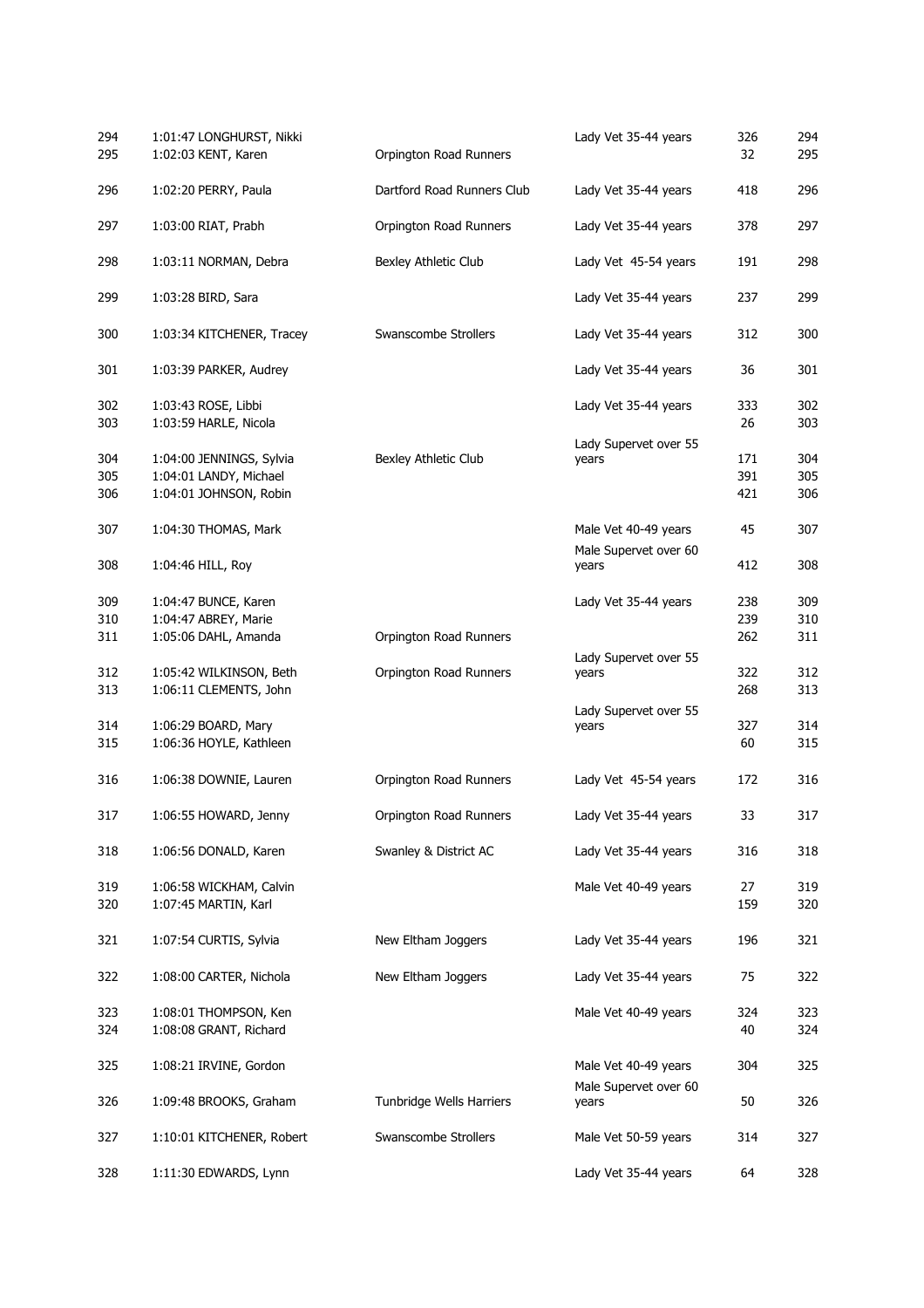| 294<br>295 | 1:01:47 LONGHURST, Nikki<br>1:02:03 KENT, Karen | Orpington Road Runners     | Lady Vet 35-44 years           | 326<br>32 | 294<br>295 |
|------------|-------------------------------------------------|----------------------------|--------------------------------|-----------|------------|
| 296        | 1:02:20 PERRY, Paula                            | Dartford Road Runners Club | Lady Vet 35-44 years           | 418       | 296        |
| 297        | 1:03:00 RIAT, Prabh                             | Orpington Road Runners     | Lady Vet 35-44 years           | 378       | 297        |
| 298        | 1:03:11 NORMAN, Debra                           | Bexley Athletic Club       | Lady Vet 45-54 years           | 191       | 298        |
| 299        | 1:03:28 BIRD, Sara                              |                            | Lady Vet 35-44 years           | 237       | 299        |
| 300        | 1:03:34 KITCHENER, Tracey                       | Swanscombe Strollers       | Lady Vet 35-44 years           | 312       | 300        |
| 301        | 1:03:39 PARKER, Audrey                          |                            | Lady Vet 35-44 years           | 36        | 301        |
| 302<br>303 | 1:03:43 ROSE, Libbi<br>1:03:59 HARLE, Nicola    |                            | Lady Vet 35-44 years           | 333<br>26 | 302<br>303 |
|            |                                                 |                            | Lady Supervet over 55          |           |            |
| 304        | 1:04:00 JENNINGS, Sylvia                        | Bexley Athletic Club       | years                          | 171       | 304        |
| 305        | 1:04:01 LANDY, Michael                          |                            |                                | 391       | 305        |
| 306        | 1:04:01 JOHNSON, Robin                          |                            |                                | 421       | 306        |
| 307        | 1:04:30 THOMAS, Mark                            |                            | Male Vet 40-49 years           | 45        | 307        |
| 308        | 1:04:46 HILL, Roy                               |                            | Male Supervet over 60<br>years | 412       | 308        |
| 309        | 1:04:47 BUNCE, Karen                            |                            | Lady Vet 35-44 years           | 238       | 309        |
| 310        | 1:04:47 ABREY, Marie                            |                            |                                | 239       | 310        |
| 311        | 1:05:06 DAHL, Amanda                            | Orpington Road Runners     |                                | 262       | 311        |
|            |                                                 |                            | Lady Supervet over 55          |           |            |
| 312        | 1:05:42 WILKINSON, Beth                         | Orpington Road Runners     | years                          | 322       | 312        |
| 313        | 1:06:11 CLEMENTS, John                          |                            |                                | 268       | 313        |
|            |                                                 |                            | Lady Supervet over 55          |           |            |
| 314        | 1:06:29 BOARD, Mary                             |                            | years                          | 327       | 314        |
| 315        | 1:06:36 HOYLE, Kathleen                         |                            |                                | 60        | 315        |
|            |                                                 |                            |                                |           |            |
| 316        | 1:06:38 DOWNIE, Lauren                          | Orpington Road Runners     | Lady Vet 45-54 years           | 172       | 316        |
| 317        | 1:06:55 HOWARD, Jenny                           | Orpington Road Runners     | Lady Vet 35-44 years           | 33        | 317        |
| 318        | 1:06:56 DONALD, Karen                           | Swanley & District AC      | Lady Vet 35-44 years           | 316       | 318        |
| 319        | 1:06:58 WICKHAM, Calvin                         |                            | Male Vet 40-49 years           | 27        | 319        |
| 320        | 1:07:45 MARTIN, Karl                            |                            |                                | 159       | 320        |
| 321        | 1:07:54 CURTIS, Sylvia                          | New Eltham Joggers         | Lady Vet 35-44 years           | 196       | 321        |
| 322        | 1:08:00 CARTER, Nichola                         | New Eltham Joggers         | Lady Vet 35-44 years           | 75        | 322        |
| 323        | 1:08:01 THOMPSON, Ken                           |                            | Male Vet 40-49 years           | 324       | 323        |
| 324        | 1:08:08 GRANT, Richard                          |                            |                                | 40        | 324        |
|            |                                                 |                            |                                |           |            |
| 325        | 1:08:21 IRVINE, Gordon                          |                            | Male Vet 40-49 years           | 304       | 325        |
|            |                                                 |                            | Male Supervet over 60          |           |            |
| 326        | 1:09:48 BROOKS, Graham                          | Tunbridge Wells Harriers   | years                          | 50        | 326        |
| 327        | 1:10:01 KITCHENER, Robert                       | Swanscombe Strollers       | Male Vet 50-59 years           | 314       | 327        |
| 328        | 1:11:30 EDWARDS, Lynn                           |                            | Lady Vet 35-44 years           | 64        | 328        |